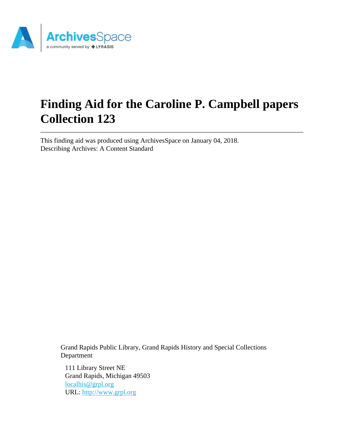

# **Finding Aid for the Caroline P. Campbell papers Collection 123**

This finding aid was produced using ArchivesSpace on January 04, 2018. Describing Archives: A Content Standard

> Grand Rapids Public Library, Grand Rapids History and Special Collections Department

111 Library Street NE Grand Rapids, Michigan 49503 [localhis@grpl.org](mailto:localhis@grpl.org) URL:<http://www.grpl.org>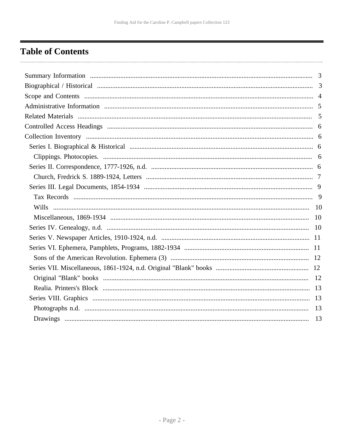## <span id="page-1-0"></span>**Table of Contents**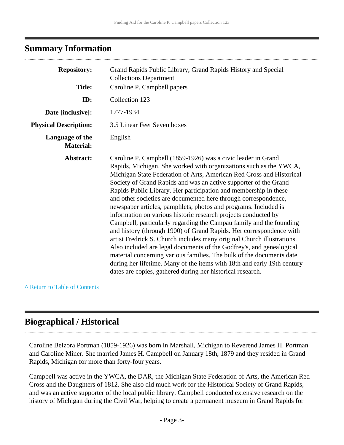#### <span id="page-2-0"></span>**Summary Information**

| <b>Repository:</b>                  | Grand Rapids Public Library, Grand Rapids History and Special                                                                                                                                                                                                                                                                                                                                                                                                                                                                                                                                                                                                                                                                                                                                                                                                                                                                                                                                                                                                              |
|-------------------------------------|----------------------------------------------------------------------------------------------------------------------------------------------------------------------------------------------------------------------------------------------------------------------------------------------------------------------------------------------------------------------------------------------------------------------------------------------------------------------------------------------------------------------------------------------------------------------------------------------------------------------------------------------------------------------------------------------------------------------------------------------------------------------------------------------------------------------------------------------------------------------------------------------------------------------------------------------------------------------------------------------------------------------------------------------------------------------------|
|                                     | <b>Collections Department</b>                                                                                                                                                                                                                                                                                                                                                                                                                                                                                                                                                                                                                                                                                                                                                                                                                                                                                                                                                                                                                                              |
| <b>Title:</b>                       | Caroline P. Campbell papers                                                                                                                                                                                                                                                                                                                                                                                                                                                                                                                                                                                                                                                                                                                                                                                                                                                                                                                                                                                                                                                |
| ID:                                 | Collection 123                                                                                                                                                                                                                                                                                                                                                                                                                                                                                                                                                                                                                                                                                                                                                                                                                                                                                                                                                                                                                                                             |
| Date [inclusive]:                   | 1777-1934                                                                                                                                                                                                                                                                                                                                                                                                                                                                                                                                                                                                                                                                                                                                                                                                                                                                                                                                                                                                                                                                  |
| <b>Physical Description:</b>        | 3.5 Linear Feet Seven boxes                                                                                                                                                                                                                                                                                                                                                                                                                                                                                                                                                                                                                                                                                                                                                                                                                                                                                                                                                                                                                                                |
| Language of the<br><b>Material:</b> | English                                                                                                                                                                                                                                                                                                                                                                                                                                                                                                                                                                                                                                                                                                                                                                                                                                                                                                                                                                                                                                                                    |
| Abstract:                           | Caroline P. Campbell (1859-1926) was a civic leader in Grand<br>Rapids, Michigan. She worked with organizations such as the YWCA,<br>Michigan State Federation of Arts, American Red Cross and Historical<br>Society of Grand Rapids and was an active supporter of the Grand<br>Rapids Public Library. Her participation and membership in these<br>and other societies are documented here through correspondence,<br>newspaper articles, pamphlets, photos and programs. Included is<br>information on various historic research projects conducted by<br>Campbell, particularly regarding the Campau family and the founding<br>and history (through 1900) of Grand Rapids. Her correspondence with<br>artist Fredrick S. Church includes many original Church illustrations.<br>Also included are legal documents of the Godfrey's, and genealogical<br>material concerning various families. The bulk of the documents date<br>during her lifetime. Many of the items with 18th and early 19th century<br>dates are copies, gathered during her historical research. |

**^** [Return to Table of Contents](#page-1-0)

## <span id="page-2-1"></span>**Biographical / Historical**

Caroline Belzora Portman (1859-1926) was born in Marshall, Michigan to Reverend James H. Portman and Caroline Miner. She married James H. Campbell on January 18th, 1879 and they resided in Grand Rapids, Michigan for more than forty-four years.

Campbell was active in the YWCA, the DAR, the Michigan State Federation of Arts, the American Red Cross and the Daughters of 1812. She also did much work for the Historical Society of Grand Rapids, and was an active supporter of the local public library. Campbell conducted extensive research on the history of Michigan during the Civil War, helping to create a permanent museum in Grand Rapids for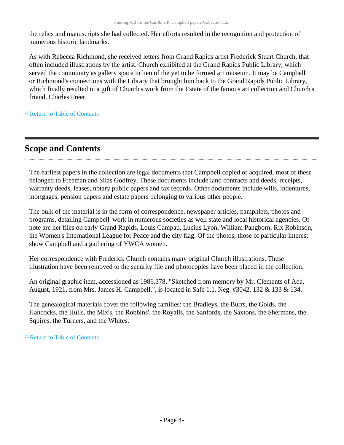the relics and manuscripts she had collected. Her efforts resulted in the recognition and protection of numerous historic landmarks.

As with Rebecca Richmond, she received letters from Grand Rapids artist Frederick Stuart Church, that often included illustrations by the artist. Church exhibited at the Grand Rapids Public Library, which served the community as gallery space in lieu of the yet to be formed art museum. It may be Campbell or Richmond's connections with the Library that brought him back to the Grand Rapids Public Library, which finally resulted in a gift of Church's work from the Estate of the famous art collection and Church's friend, Charles Freer.

**^** [Return to Table of Contents](#page-1-0)

## <span id="page-3-0"></span>**Scope and Contents**

The earliest papers in the collection are legal documents that Campbell copied or acquired, most of these belonged to Freeman and Silas Godfrey. These documents include land contracts and deeds, receipts, warranty deeds, leases, notary public papers and tax records. Other documents include wills, indentures, mortgages, pension papers and estate papers belonging to various other people.

The bulk of the material is in the form of correspondence, newspaper articles, pamphlets, photos and programs, detailing Campbell' work in numerous societies as well state and local historical agencies. Of note are her files on early Grand Rapids, Louis Campau, Lucius Lyon, William Pangborn, Rix Robinson, the Women's International League for Peace and the city flag. Of the photos, those of particular interest show Campbell and a gathering of YWCA women.

Her correspondence with Frederick Church contains many original Church illustrations. These illustration have been removed to the security file and photocopies have been placed in the collection.

An original graphic item, accessioned as 1986.378, "Sketched from memory by Mr. Clements of Ada, August, 1921, from Mrs. James H. Campbell.", is located in Safe 1.1. Neg. #3042, 132 & 133 & 134.

The genealogical materials cover the following families: the Bradleys, the Burrs, the Golds, the Hancocks, the Hulls, the Mix's, the Robbins', the Royalls, the Sanfords, the Saxtons, the Shermans, the Squires, the Turners, and the Whites.

**^** [Return to Table of Contents](#page-1-0)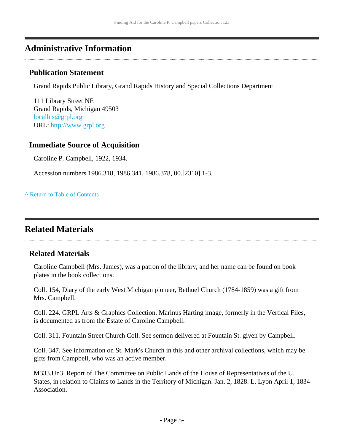### <span id="page-4-0"></span>**Administrative Information**

#### **Publication Statement**

Grand Rapids Public Library, Grand Rapids History and Special Collections Department

111 Library Street NE Grand Rapids, Michigan 49503 [localhis@grpl.org](mailto:localhis@grpl.org) URL:<http://www.grpl.org>

#### **Immediate Source of Acquisition**

Caroline P. Campbell, 1922, 1934.

Accession numbers 1986.318, 1986.341, 1986.378, 00.[2310].1-3.

**^** [Return to Table of Contents](#page-1-0)

#### <span id="page-4-1"></span>**Related Materials**

#### **Related Materials**

Caroline Campbell (Mrs. James), was a patron of the library, and her name can be found on book plates in the book collections.

Coll. 154, Diary of the early West Michigan pioneer, Bethuel Church (1784-1859) was a gift from Mrs. Campbell.

Coll. 224. GRPL Arts & Graphics Collection. Marinus Harting image, formerly in the Vertical Files, is documented as from the Estate of Caroline Campbell.

Coll. 311. Fountain Street Church Coll. See sermon delivered at Fountain St. given by Campbell.

Coll. 347, See information on St. Mark's Church in this and other archival collections, which may be gifts from Campbell, who was an active member.

M333.Un3. Report of The Committee on Public Lands of the House of Representatives of the U. States, in relation to Claims to Lands in the Territory of Michigan. Jan. 2, 1828. L. Lyon April 1, 1834 Association.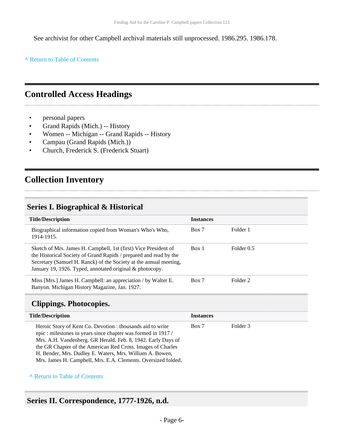See archivist for other Campbell archival materials still unprocessed. 1986.295. 1986.178.

**^** [Return to Table of Contents](#page-1-0)

### <span id="page-5-0"></span>**Controlled Access Headings**

- personal papers
- Grand Rapids (Mich.) -- History
- Women -- Michigan -- Grand Rapids -- History
- Campau (Grand Rapids (Mich.))
- Church, Frederick S. (Frederick Stuart)

## <span id="page-5-1"></span>**Collection Inventory**

#### <span id="page-5-2"></span>**Series I. Biographical & Historical**

| <b>Title/Description</b>                                                                                                                                                                                                                                              | <b>Instances</b> |                     |
|-----------------------------------------------------------------------------------------------------------------------------------------------------------------------------------------------------------------------------------------------------------------------|------------------|---------------------|
| Biographical information copied from Woman's Who's Who,<br>1914-1915.                                                                                                                                                                                                 | Box 7            | Folder 1            |
| Sketch of Mrs. James H. Campbell, 1st (first) Vice President of<br>the Historical Society of Grand Rapids / prepared and read by the<br>Secretary (Samuel H. Ranck) of the Society at the annual meeting,<br>January 19, 1926. Typed, annotated original & photocopy. | Box 1            | Folder 0.5          |
| Miss [Mrs.] James H. Campbell: an appreciation / by Walter E.<br>Banyon. Michigan History Magazine, Jan. 1927.                                                                                                                                                        | Box 7            | Folder <sub>2</sub> |

#### <span id="page-5-3"></span>**Clippings. Photocopies.**

| <b>Title/Description</b>                                                                                                                                                                                                                                                                                                                                                              | <b>Instances</b> |          |
|---------------------------------------------------------------------------------------------------------------------------------------------------------------------------------------------------------------------------------------------------------------------------------------------------------------------------------------------------------------------------------------|------------------|----------|
| Heroic Story of Kent Co. Devotion : thousands aid to write<br>epic: milestones in years since chapter was formed in 1917/<br>Mrs. A.H. Vandenberg. GR Herald. Feb. 8, 1942. Early Days of<br>the GR Chapter of the American Red Cross. Images of Charles<br>H. Bender, Mrs. Dudley E. Waters, Mrs. William A. Bowen,<br>Mrs. James H. Campbell, Mrs. E.A. Clements. Oversized folded. | Box 7            | Folder 3 |

#### **^** [Return to Table of Contents](#page-1-0)

## <span id="page-5-4"></span>**Series II. Correspondence, 1777-1926, n.d.**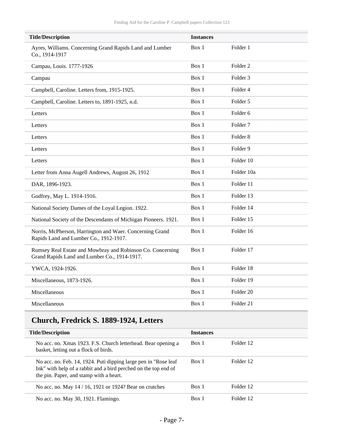| <b>Title/Description</b>                                                                                   | <b>Instances</b> |                     |
|------------------------------------------------------------------------------------------------------------|------------------|---------------------|
| Ayres, Williams. Concerning Grand Rapids Land and Lumber<br>Co., 1914-1917                                 | Box 1            | Folder 1            |
| Campau, Louis. 1777-1926                                                                                   | Box 1            | Folder 2            |
| Campau                                                                                                     | Box 1            | Folder <sub>3</sub> |
| Campbell, Caroline. Letters from, 1915-1925.                                                               | Box 1            | Folder 4            |
| Campbell, Caroline. Letters to, 1891-1925, n.d.                                                            | Box 1            | Folder 5            |
| Letters                                                                                                    | Box 1            | Folder <sub>6</sub> |
| Letters                                                                                                    | Box 1            | Folder <sub>7</sub> |
| Letters                                                                                                    | Box 1            | Folder <sub>8</sub> |
| Letters                                                                                                    | Box 1            | Folder 9            |
| Letters                                                                                                    | Box 1            | Folder 10           |
| Letter from Anna Augell Andrews, August 26, 1912                                                           | Box 1            | Folder 10a          |
| DAR, 1896-1923.                                                                                            | Box 1            | Folder 11           |
| Godfrey, May L. 1914-1916.                                                                                 | Box 1            | Folder 13           |
| National Society Dames of the Loyal Legion. 1922.                                                          | Box 1            | Folder 14           |
| National Society of the Descendants of Michigan Pioneers. 1921.                                            | Box 1            | Folder 15           |
| Norris, McPherson, Harrington and Waer. Concerning Grand<br>Rapids Land and Lumber Co., 1912-1917.         | Box 1            | Folder 16           |
| Rumsey Real Estate and Mowbray and Robinson Co. Concerning<br>Grand Rapids Land and Lumber Co., 1914-1917. | Box 1            | Folder 17           |
| YWCA, 1924-1926.                                                                                           | Box 1            | Folder 18           |
| Miscellaneous, 1873-1926.                                                                                  | Box 1            | Folder 19           |
| Miscellaneous                                                                                              | Box 1            | Folder 20           |
| Miscellaneous                                                                                              | Box 1            | Folder 21           |

## <span id="page-6-0"></span>**Church, Fredrick S. 1889-1924, Letters**

| <b>Title/Description</b>                                                                                                                                                       | <b>Instances</b> |           |
|--------------------------------------------------------------------------------------------------------------------------------------------------------------------------------|------------------|-----------|
| No acc. no. Xmas 1923. F.S. Church letterhead. Bear opening a<br>basket, letting out a flock of birds.                                                                         | Box 1            | Folder 12 |
| No acc. no. Feb. 14, 1924. Puti dipping large pen in "Rose leaf"<br>Ink" with help of a rabbit and a bird perched on the top end of<br>the pin. Paper, and stamp with a heart. | Box 1            | Folder 12 |
| No acc. no. May 14 / 16, 1921 or 1924? Bear on crutches                                                                                                                        | Box 1            | Folder 12 |
| No acc. no. May 30, 1921. Flamingo.                                                                                                                                            | Box 1            | Folder 12 |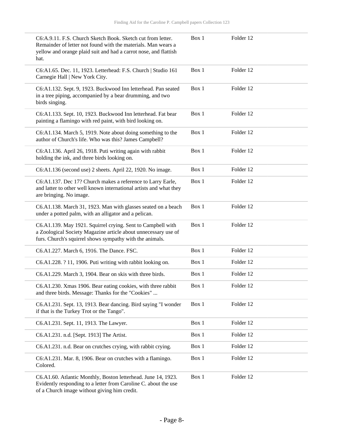| C6:A.9.11. F.S. Church Sketch Book. Sketch cut from letter.<br>Remainder of letter not found with the materials. Man wears a<br>yellow and orange plaid suit and had a carrot nose, and flattish<br>hat. | Box 1 | Folder 12 |
|----------------------------------------------------------------------------------------------------------------------------------------------------------------------------------------------------------|-------|-----------|
| C6:A1.65. Dec. 11, 1923. Letterhead: F.S. Church   Studio 161<br>Carnegie Hall   New York City.                                                                                                          | Box 1 | Folder 12 |
| C6:A1.132. Sept. 9, 1923. Buckwood Inn letterhead. Pan seated<br>in a tree piping, accompanied by a bear drumming, and two<br>birds singing.                                                             | Box 1 | Folder 12 |
| C6:A1.133. Sept. 10, 1923. Buckwood Inn letterhead. Fat bear<br>painting a flamingo with red paint, with bird looking on.                                                                                | Box 1 | Folder 12 |
| C6:A1.134. March 5, 1919. Note about doing something to the<br>author of Church's life. Who was this? James Campbell?                                                                                    | Box 1 | Folder 12 |
| C6:A1.136. April 26, 1918. Puti writing again with rabbit<br>holding the ink, and three birds looking on.                                                                                                | Box 1 | Folder 12 |
| C6:A1.136 (second use) 2 sheets. April 22, 1920. No image.                                                                                                                                               | Box 1 | Folder 12 |
| C6:A1.137. Dec 17? Church makes a reference to Larry Earle,<br>and latter to other well known international artists and what they<br>are bringing. No image.                                             | Box 1 | Folder 12 |
| C6.A1.138. March 31, 1923. Man with glasses seated on a beach<br>under a potted palm, with an alligator and a pelican.                                                                                   | Box 1 | Folder 12 |
| C6.A1.139. May 1921. Squirrel crying. Sent to Campbell with<br>a Zoological Society Magazine article about unnecessary use of<br>furs. Church's squirrel shows sympathy with the animals.                | Box 1 | Folder 12 |
| C6.A1.227. March 6, 1916. The Dance. FSC.                                                                                                                                                                | Box 1 | Folder 12 |
| C6.A1.228. ? 11, 1906. Puti writing with rabbit looking on.                                                                                                                                              | Box 1 | Folder 12 |
| C6.A1.229. March 3, 1904. Bear on skis with three birds.                                                                                                                                                 | Box 1 | Folder 12 |
| C6.A1.230. Xmas 1906. Bear eating cookies, with three rabbit<br>and three birds. Message: Thanks for the "Cookies"                                                                                       | Box 1 | Folder 12 |
| C6.A1.231. Sept. 13, 1913. Bear dancing. Bird saying "I wonder<br>if that is the Turkey Trot or the Tango".                                                                                              | Box 1 | Folder 12 |
| C6.A1.231. Sept. 11, 1913. The Lawyer.                                                                                                                                                                   | Box 1 | Folder 12 |
| C6.A1.231. n.d. [Sept. 1913] The Artist.                                                                                                                                                                 | Box 1 | Folder 12 |
| C6.A1.231. n.d. Bear on crutches crying, with rabbit crying.                                                                                                                                             | Box 1 | Folder 12 |
| C6:A1.231. Mar. 8, 1906. Bear on crutches with a flamingo.<br>Colored.                                                                                                                                   | Box 1 | Folder 12 |
| C6.A1.60. Atlantic Monthly, Boston letterhead. June 14, 1923.<br>Evidently responding to a letter from Caroline C. about the use<br>of a Church image without giving him credit.                         | Box 1 | Folder 12 |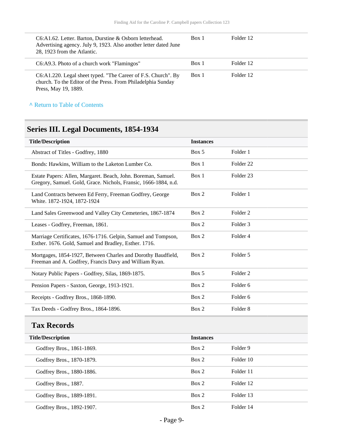| C6:A1.62. Letter. Barton, Durstine & Osborn letterhead.<br>Advertising agency. July 9, 1923. Also another letter dated June<br>28, 1923 from the Atlantic. | Box 1 | Folder 12 |
|------------------------------------------------------------------------------------------------------------------------------------------------------------|-------|-----------|
| C6:A9.3. Photo of a church work "Flamingos"                                                                                                                | Box 1 | Folder 12 |
| C6:A1.220. Legal sheet typed. "The Career of F.S. Church". By<br>church. To the Editor of the Press. From Philadelphia Sunday<br>Press, May 19, 1889.      | Box 1 | Folder 12 |

**^** [Return to Table of Contents](#page-1-0)

## <span id="page-8-0"></span>**Series III. Legal Documents, 1854-1934**

| <b>Title/Description</b>                                                                                                         | <b>Instances</b> |                      |  |
|----------------------------------------------------------------------------------------------------------------------------------|------------------|----------------------|--|
| Abstract of Titles - Godfrey, 1880                                                                                               | Box 5            | Folder 1             |  |
| Bonds: Hawkins, William to the Laketon Lumber Co.                                                                                | Box 1            | Folder <sub>22</sub> |  |
| Estate Papers: Allen, Margaret. Beach, John. Boreman, Samuel.<br>Gregory, Samuel. Gold, Grace. Nichols, Fransic, 1666-1884, n.d. | Box 1            | Folder <sub>23</sub> |  |
| Land Contracts between Ed Ferry, Freeman Godfrey, George<br>White. 1872-1924, 1872-1924                                          | Box 2            | Folder 1             |  |
| Land Sales Greenwood and Valley City Cemeteries, 1867-1874                                                                       | Box 2            | Folder <sub>2</sub>  |  |
| Leases - Godfrey, Freeman, 1861.                                                                                                 | Box 2            | Folder <sub>3</sub>  |  |
| Marriage Certificates, 1676-1716. Gelpin, Samuel and Tompson,<br>Esther. 1676. Gold, Samuel and Bradley, Esther. 1716.           | Box 2            | Folder 4             |  |
| Mortgages, 1854-1927, Between Charles and Dorothy Baudfield,<br>Freeman and A. Godfrey, Francis Davy and William Ryan.           | Box 2            | Folder 5             |  |
| Notary Public Papers - Godfrey, Silas, 1869-1875.                                                                                | Box 5            | Folder <sub>2</sub>  |  |
| Pension Papers - Saxton, George, 1913-1921.                                                                                      | Box 2            | Folder <sub>6</sub>  |  |
| Receipts - Godfrey Bros., 1868-1890.                                                                                             | Box 2            | Folder <sub>6</sub>  |  |
| Tax Deeds - Godfrey Bros., 1864-1896.                                                                                            | Box 2            | Folder <sub>8</sub>  |  |

<span id="page-8-1"></span>

| <b>Title/Description</b>  | <b>Instances</b> |           |
|---------------------------|------------------|-----------|
| Godfrey Bros., 1861-1869. | Box 2            | Folder 9  |
| Godfrey Bros., 1870-1879. | Box 2            | Folder 10 |
| Godfrey Bros., 1880-1886. | Box 2            | Folder 11 |
| Godfrey Bros., 1887.      | Box 2            | Folder 12 |
| Godfrey Bros., 1889-1891. | Box 2            | Folder 13 |
| Godfrey Bros., 1892-1907. | Box 2            | Folder 14 |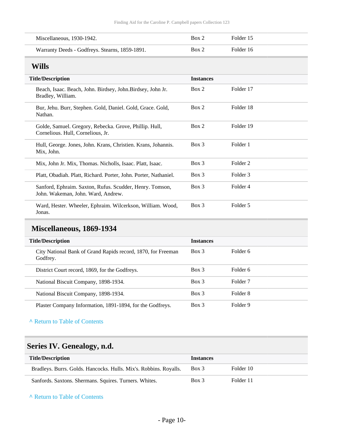| Miscellaneous, 1930-1942.                      | Box 2 | Folder 15 |
|------------------------------------------------|-------|-----------|
| Warranty Deeds - Godfreys. Stearns, 1859-1891. | Box 2 | Folder 16 |

#### <span id="page-9-0"></span>**Wills**

| <b>Title/Description</b>                                                                       | <b>Instances</b> |           |
|------------------------------------------------------------------------------------------------|------------------|-----------|
| Beach, Isaac. Beach, John. Birdsey, John. Birdsey, John Jr.<br>Bradley, William.               | Box 2            | Folder 17 |
| Bur, Jehu. Burr, Stephen. Gold, Daniel. Gold, Grace. Gold,<br>Nathan.                          | Box 2            | Folder 18 |
| Golde, Samuel. Gregory, Rebecka. Grove, Phillip. Hull,<br>Cornelious. Hull, Cornelious, Jr.    | Box 2            | Folder 19 |
| Hull, George. Jones, John. Krans, Christien. Krans, Johannis.<br>Mix, John.                    | $Box\ 3$         | Folder 1  |
| Mix, John Jr. Mix, Thomas. Nicholls, Isaac. Platt, Isaac.                                      | $Box\ 3$         | Folder 2  |
| Platt, Obadiah. Platt, Richard. Porter, John. Porter, Nathaniel.                               | $Box\ 3$         | Folder 3  |
| Sanford, Ephraim. Saxton, Rufus. Scudder, Henry. Tomson,<br>John. Wakeman, John. Ward, Andrew. | $Box\ 3$         | Folder 4  |
| Ward, Hester. Wheeler, Ephraim. Wilcerkson, William. Wood,<br>Jonas.                           | $Box\ 3$         | Folder 5  |

## <span id="page-9-1"></span>**Miscellaneous, 1869-1934**

| <b>Title/Description</b>                                                 | <b>Instances</b> |          |
|--------------------------------------------------------------------------|------------------|----------|
| City National Bank of Grand Rapids record, 1870, for Freeman<br>Godfrey. | Box 3            | Folder 6 |
| District Court record, 1869, for the Godfreys.                           | Box 3            | Folder 6 |
| National Biscuit Company, 1898-1934.                                     | Box 3            | Folder 7 |
| National Biscuit Company, 1898-1934.                                     | Box 3            | Folder 8 |
| Plaster Company Information, 1891-1894, for the Godfreys.                | Box 3            | Folder 9 |

**^** [Return to Table of Contents](#page-1-0)

## <span id="page-9-2"></span>**Series IV. Genealogy, n.d.**

| <b>Title/Description</b>                                          | <b>Instances</b> |           |
|-------------------------------------------------------------------|------------------|-----------|
| Bradleys. Burrs. Golds. Hancocks. Hulls. Mix's. Robbins. Royalls. | Box 3            | Folder 10 |
| Sanfords. Saxtons. Shermans. Squires. Turners. Whites.            | $Box$ 3          | Folder 11 |

**^** [Return to Table of Contents](#page-1-0)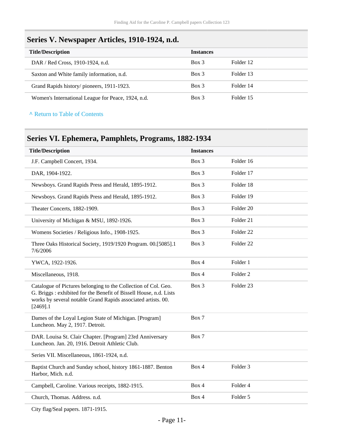#### <span id="page-10-0"></span>**Series V. Newspaper Articles, 1910-1924, n.d.**

| <b>Title/Description</b>                           | <b>Instances</b> |           |
|----------------------------------------------------|------------------|-----------|
| DAR / Red Cross, 1910-1924, n.d.                   | Box 3            | Folder 12 |
| Saxton and White family information, n.d.          | Box 3            | Folder 13 |
| Grand Rapids history/pioneers, 1911-1923.          | Box 3            | Folder 14 |
| Women's International League for Peace, 1924, n.d. | Box 3            | Folder 15 |

**^** [Return to Table of Contents](#page-1-0)

## <span id="page-10-1"></span>**Series VI. Ephemera, Pamphlets, Programs, 1882-1934**

| <b>Title/Description</b>                                                                                                                                                                                            | <b>Instances</b> |                      |
|---------------------------------------------------------------------------------------------------------------------------------------------------------------------------------------------------------------------|------------------|----------------------|
| J.F. Campbell Concert, 1934.                                                                                                                                                                                        | Box 3            | Folder 16            |
| DAR, 1904-1922.                                                                                                                                                                                                     | Box 3            | Folder 17            |
| Newsboys. Grand Rapids Press and Herald, 1895-1912.                                                                                                                                                                 | Box 3            | Folder 18            |
| Newsboys. Grand Rapids Press and Herald, 1895-1912.                                                                                                                                                                 | Box 3            | Folder 19            |
| Theater Concerts, 1882-1909.                                                                                                                                                                                        | Box 3            | Folder <sub>20</sub> |
| University of Michigan & MSU, 1892-1926.                                                                                                                                                                            | Box 3            | Folder 21            |
| Womens Societies / Religious Info., 1908-1925.                                                                                                                                                                      | Box 3            | Folder <sub>22</sub> |
| Three Oaks Historical Society, 1919/1920 Program. 00.[5085].1<br>7/6/2006                                                                                                                                           | Box 3            | Folder <sub>22</sub> |
| YWCA, 1922-1926.                                                                                                                                                                                                    | Box 4            | Folder 1             |
| Miscellaneous, 1918.                                                                                                                                                                                                | Box 4            | Folder <sub>2</sub>  |
| Catalogue of Pictures belonging to the Collection of Col. Geo.<br>G. Briggs: exhibited for the Benefit of Bissell House, n.d. Lists<br>works by several notable Grand Rapids associated artists. 00.<br>$[2469]$ .1 | Box 3            | Folder 23            |
| Dames of the Loyal Legion State of Michigan. [Program]<br>Luncheon. May 2, 1917. Detroit.                                                                                                                           | Box 7            |                      |
| DAR. Louisa St. Clair Chapter. [Program] 23rd Anniversary<br>Luncheon. Jan. 20, 1916. Detroit Athletic Club.                                                                                                        | Box 7            |                      |
| Series VII. Miscellaneous, 1861-1924, n.d.                                                                                                                                                                          |                  |                      |
| Baptist Church and Sunday school, history 1861-1887. Benton<br>Harbor, Mich. n.d.                                                                                                                                   | Box 4            | Folder <sub>3</sub>  |
| Campbell, Caroline. Various receipts, 1882-1915.                                                                                                                                                                    | Box 4            | Folder 4             |
| Church, Thomas. Address. n.d.                                                                                                                                                                                       | Box 4            | Folder 5             |
|                                                                                                                                                                                                                     |                  |                      |

City flag/Seal papers. 1871-1915.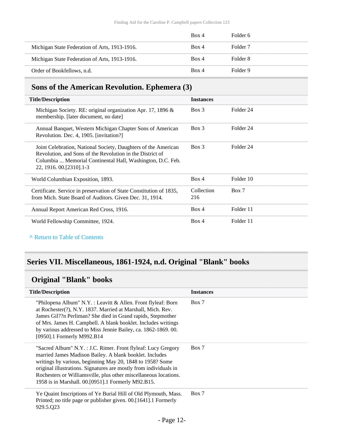|                                               | Box 4 | Folder 6 |
|-----------------------------------------------|-------|----------|
| Michigan State Federation of Arts, 1913-1916. | Box 4 | Folder 7 |
| Michigan State Federation of Arts, 1913-1916. | Box 4 | Folder 8 |
| Order of Bookfellows, n.d.                    | Box 4 | Folder 9 |

#### <span id="page-11-0"></span>**Sons of the American Revolution. Ephemera (3)**

| <b>Title/Description</b>                                                                                                                                                                                                | <b>Instances</b>  |           |
|-------------------------------------------------------------------------------------------------------------------------------------------------------------------------------------------------------------------------|-------------------|-----------|
| Michigan Society. RE: original organization Apr. 17, 1896 $\&$<br>membership. [later document, no date]                                                                                                                 | $Box\ 3$          | Folder 24 |
| Annual Banquet, Western Michigan Chapter Sons of American<br>Revolution. Dec. 4, 1905. [invitation?]                                                                                                                    | $Box$ 3           | Folder 24 |
| Joint Celebration, National Society, Daughters of the American<br>Revolution, and Sons of the Revolution in the District of<br>Columbia  Memorial Continental Hall, Washington, D.C. Feb.<br>22, 1916, 00. [2310] . 1-3 | $Box$ 3           | Folder 24 |
| World Columbian Exposition, 1893.                                                                                                                                                                                       | Box 4             | Folder 10 |
| Certificate. Service in preservation of State Constitution of 1835,<br>from Mich. State Board of Auditors. Given Dec. 31, 1914.                                                                                         | Collection<br>216 | Box 7     |
| Annual Report American Red Cross, 1916.                                                                                                                                                                                 | Box 4             | Folder 11 |
| World Fellowship Committee, 1924.                                                                                                                                                                                       | Box 4             | Folder 11 |

#### **^** [Return to Table of Contents](#page-1-0)

#### <span id="page-11-1"></span>**Series VII. Miscellaneous, 1861-1924, n.d. Original "Blank" books**

## <span id="page-11-2"></span>**Original "Blank" books**

| <b>Title/Description</b>                                                                                                                                                                                                                                                                                                                                                               | <b>Instances</b> |
|----------------------------------------------------------------------------------------------------------------------------------------------------------------------------------------------------------------------------------------------------------------------------------------------------------------------------------------------------------------------------------------|------------------|
| "Philopena Album" N.Y.: Leavitt & Allen. Front flyleaf: Born<br>at Rochester(?), N.Y. 1837. Married at Marshall, Mich. Rev.<br>James Gil??n Perliman? She died in Grand rapids, Stepmother<br>of Mrs. James H. Campbell. A blank booklet. Includes writings<br>by various addressed to Miss Jennie Bailey, ca. 1862-1869. 00.<br>[0950].1 Formerly M992.B14                            | Box 7            |
| "Sacred Album" N.Y.: J.C. Rimer. Front flyleaf: Lucy Gregory<br>married James Madison Bailey. A blank booklet. Includes<br>writings by various, beginning May 20, 1848 to 1958? Some<br>original illustrations. Signatures are mostly from individuals in<br>Rochesters or Williamsville, plus other miscellaneous locations.<br>1958 is in Marshall. 00. [0951]. 1 Formerly M92. B15. | Box 7            |
| Ye Quaint Inscriptions of Ye Burial Hill of Old Plymouth, Mass.<br>Printed; no title page or publisher given. 00.[1641].1 Formerly<br>929.5.Q23                                                                                                                                                                                                                                        | Box 7            |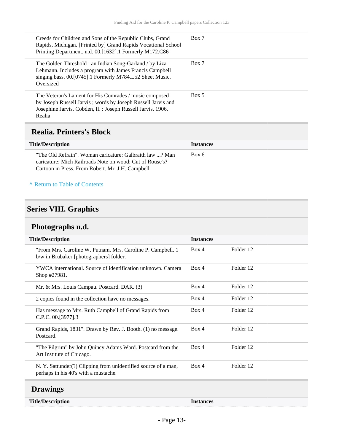| Creeds for Children and Sons of the Republic Clubs, Grand<br>Rapids, Michigan. [Printed by] Grand Rapids Vocational School<br>Printing Department. n.d. 00.[1632].1 Formerly M172.C86            | Box 7 |
|--------------------------------------------------------------------------------------------------------------------------------------------------------------------------------------------------|-------|
| The Golden Threshold : an Indian Song-Garland / by Liza<br>Lehmann. Includes a program with James Francis Campbell<br>singing bass. 00.[0745].1 Formerly M784.L52 Sheet Music.<br>Oversized      | Box 7 |
| The Veteran's Lament for His Comrades / music composed<br>by Joseph Russell Jarvis; words by Joseph Russell Jarvis and<br>Josephine Jarvis. Cobden, Il. : Joseph Russell Jarvis, 1906.<br>Realia | Box 5 |

#### <span id="page-12-0"></span>**Realia. Printers's Block**

| <b>Title/Description</b>                                                                                                                                                  | <b>Instances</b> |
|---------------------------------------------------------------------------------------------------------------------------------------------------------------------------|------------------|
| "The Old Refrain". Woman caricature: Galbraith law ? Man<br>caricature: Mich Railroads Note on wood: Cut of Rouse's?<br>Cartoon in Press. From Robert. Mr. J.H. Campbell. | Box 6            |

#### **^** [Return to Table of Contents](#page-1-0)

## <span id="page-12-1"></span>**Series VIII. Graphics**

## <span id="page-12-2"></span>**Photographs n.d.**

| <b>Title/Description</b>                                                                               | <b>Instances</b> |           |
|--------------------------------------------------------------------------------------------------------|------------------|-----------|
| "From Mrs. Caroline W. Putnam. Mrs. Caroline P. Campbell. 1<br>b/w in Brubaker [photographers] folder. | Box 4            | Folder 12 |
| YWCA international. Source of identification unknown. Camera<br>Shop #27981.                           | Box 4            | Folder 12 |
| Mr. & Mrs. Louis Campau. Postcard. DAR. (3)                                                            | Box 4            | Folder 12 |
| 2 copies found in the collection have no messages.                                                     | Box 4            | Folder 12 |
| Has message to Mrs. Ruth Campbell of Grand Rapids from<br>C.P.C. 00.[3977].3                           | Box 4            | Folder 12 |
| Grand Rapids, 1831". Drawn by Rev. J. Booth. (1) no message.<br>Postcard.                              | Box 4            | Folder 12 |
| "The Pilgrim" by John Quincy Adams Ward. Postcard from the<br>Art Institute of Chicago.                | Box 4            | Folder 12 |
| N. Y. Sattunder(?) Clipping from unidentified source of a man,<br>perhaps in his 40's with a mustache. | Box 4            | Folder 12 |
| <b>Drawings</b>                                                                                        |                  |           |

<span id="page-12-3"></span>**Title/Description Instances**